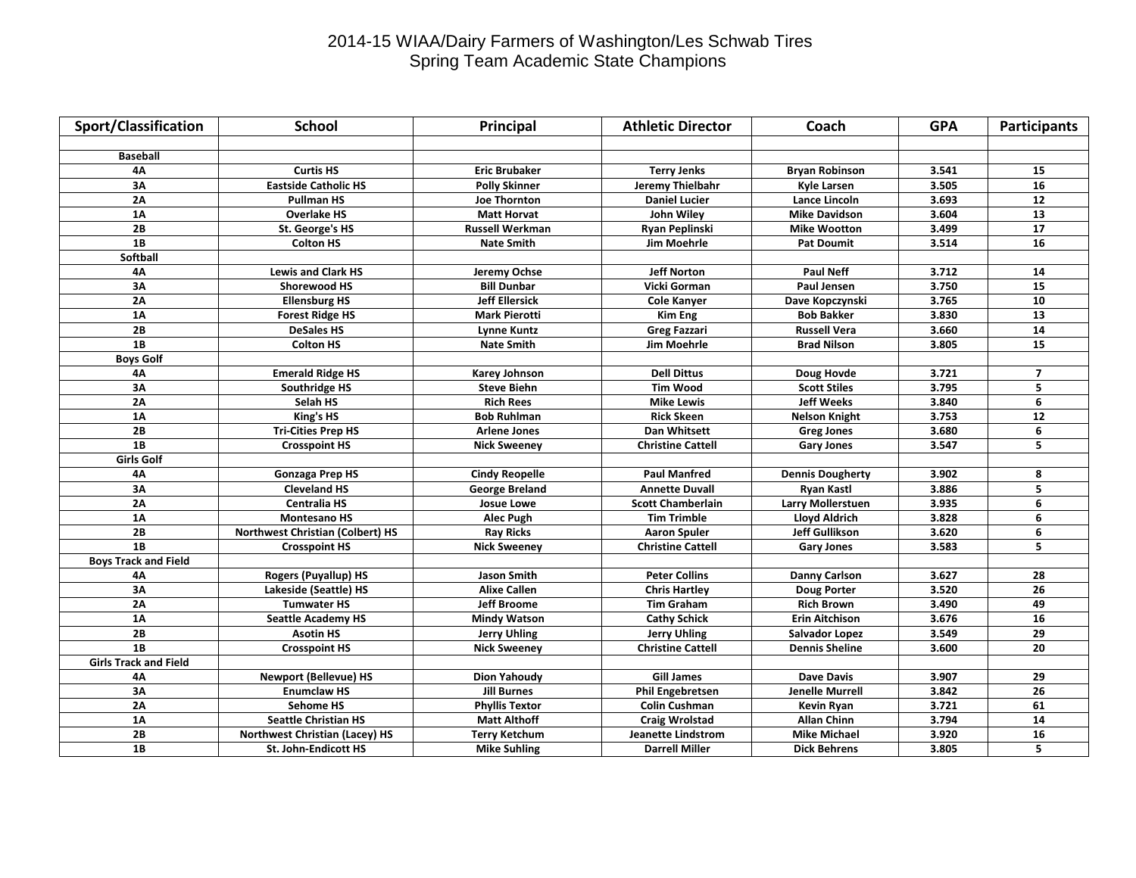## 2014-15 WIAA/Dairy Farmers of Washington/Les Schwab Tires Spring Team Academic State Champions

| <b>Sport/Classification</b>  | <b>School</b>                           | Principal              | <b>Athletic Director</b>  | Coach                    | <b>GPA</b> | <b>Participants</b> |
|------------------------------|-----------------------------------------|------------------------|---------------------------|--------------------------|------------|---------------------|
|                              |                                         |                        |                           |                          |            |                     |
| <b>Baseball</b>              |                                         |                        |                           |                          |            |                     |
| 4Α                           | <b>Curtis HS</b>                        | <b>Eric Brubaker</b>   | <b>Terry Jenks</b>        | <b>Bryan Robinson</b>    | 3.541      | 15                  |
| 3A                           | <b>Eastside Catholic HS</b>             | <b>Polly Skinner</b>   | Jeremy Thielbahr          | <b>Kyle Larsen</b>       | 3.505      | 16                  |
| 2A                           | <b>Pullman HS</b>                       | <b>Joe Thornton</b>    | <b>Daniel Lucier</b>      | Lance Lincoln            | 3.693      | 12                  |
| 1A                           | <b>Overlake HS</b>                      | <b>Matt Horvat</b>     | John Wiley                | <b>Mike Davidson</b>     | 3.604      | 13                  |
| 2B                           | St. George's HS                         | <b>Russell Werkman</b> | Ryan Peplinski            | <b>Mike Wootton</b>      | 3.499      | ${\bf 17}$          |
| 1B                           | <b>Colton HS</b>                        | <b>Nate Smith</b>      | Jim Moehrle               | <b>Pat Doumit</b>        | 3.514      | 16                  |
| Softball                     |                                         |                        |                           |                          |            |                     |
| 4A                           | <b>Lewis and Clark HS</b>               | Jeremy Ochse           | <b>Jeff Norton</b>        | <b>Paul Neff</b>         | 3.712      | 14                  |
| 3A                           | <b>Shorewood HS</b>                     | <b>Bill Dunbar</b>     | Vicki Gorman              | <b>Paul Jensen</b>       | 3.750      | $\overline{15}$     |
| 2A                           | <b>Ellensburg HS</b>                    | <b>Jeff Ellersick</b>  | <b>Cole Kanyer</b>        | Dave Kopczynski          | 3.765      | ${\bf 10}$          |
| 1A                           | <b>Forest Ridge HS</b>                  | <b>Mark Pierotti</b>   | <b>Kim Eng</b>            | <b>Bob Bakker</b>        | 3.830      | 13                  |
| 2B                           | <b>DeSales HS</b>                       | Lynne Kuntz            | <b>Greg Fazzari</b>       | <b>Russell Vera</b>      | 3.660      | 14                  |
| 1B                           | <b>Colton HS</b>                        | <b>Nate Smith</b>      | <b>Jim Moehrle</b>        | <b>Brad Nilson</b>       | 3.805      | 15                  |
| <b>Boys Golf</b>             |                                         |                        |                           |                          |            |                     |
| 4A                           | <b>Emerald Ridge HS</b>                 | <b>Karey Johnson</b>   | <b>Dell Dittus</b>        | Doug Hovde               | 3.721      | 7                   |
| 3A                           | Southridge HS                           | <b>Steve Biehn</b>     | <b>Tim Wood</b>           | <b>Scott Stiles</b>      | 3.795      | 5                   |
| 2A                           | Selah HS                                | <b>Rich Rees</b>       | <b>Mike Lewis</b>         | <b>Jeff Weeks</b>        | 3.840      | 6                   |
| 1A                           | King's HS                               | <b>Bob Ruhlman</b>     | <b>Rick Skeen</b>         | <b>Nelson Knight</b>     | 3.753      | ${\bf 12}$          |
| 2B                           | <b>Tri-Cities Prep HS</b>               | <b>Arlene Jones</b>    | Dan Whitsett              | <b>Greg Jones</b>        | 3.680      | 6                   |
| 1B                           | <b>Crosspoint HS</b>                    | <b>Nick Sweeney</b>    | <b>Christine Cattell</b>  | <b>Gary Jones</b>        | 3.547      | 5                   |
| <b>Girls Golf</b>            |                                         |                        |                           |                          |            |                     |
| 4A                           | <b>Gonzaga Prep HS</b>                  | <b>Cindy Reopelle</b>  | <b>Paul Manfred</b>       | <b>Dennis Dougherty</b>  | 3.902      | 8                   |
| 3A                           | <b>Cleveland HS</b>                     | <b>George Breland</b>  | <b>Annette Duvall</b>     | Ryan Kastl               | 3.886      | 5                   |
| $\overline{2A}$              | <b>Centralia HS</b>                     | <b>Josue Lowe</b>      | <b>Scott Chamberlain</b>  | <b>Larry Mollerstuen</b> | 3.935      | 6                   |
| 1A                           | <b>Montesano HS</b>                     | Alec Pugh              | <b>Tim Trimble</b>        | <b>Lloyd Aldrich</b>     | 3.828      | 6                   |
| 2B                           | <b>Northwest Christian (Colbert) HS</b> | <b>Ray Ricks</b>       | <b>Aaron Spuler</b>       | <b>Jeff Gullikson</b>    | 3.620      | 6                   |
| 1B                           | <b>Crosspoint HS</b>                    | <b>Nick Sweeney</b>    | <b>Christine Cattell</b>  | <b>Gary Jones</b>        | 3.583      | 5                   |
| <b>Boys Track and Field</b>  |                                         |                        |                           |                          |            |                     |
| 4Α                           | <b>Rogers (Puyallup) HS</b>             | Jason Smith            | <b>Peter Collins</b>      | <b>Danny Carlson</b>     | 3.627      | 28                  |
| 3A                           | Lakeside (Seattle) HS                   | <b>Alixe Callen</b>    | <b>Chris Hartley</b>      | <b>Doug Porter</b>       | 3.520      | 26                  |
| 2A                           | <b>Tumwater HS</b>                      | <b>Jeff Broome</b>     | Tim Graham                | <b>Rich Brown</b>        | 3.490      | 49                  |
| 1A                           | <b>Seattle Academy HS</b>               | <b>Mindy Watson</b>    | <b>Cathy Schick</b>       | <b>Erin Aitchison</b>    | 3.676      | 16                  |
| 2B                           | <b>Asotin HS</b>                        | <b>Jerry Uhling</b>    | <b>Jerry Uhling</b>       | Salvador Lopez           | 3.549      | 29                  |
| 1B                           | <b>Crosspoint HS</b>                    | <b>Nick Sweeney</b>    | <b>Christine Cattell</b>  | <b>Dennis Sheline</b>    | 3.600      | 20                  |
| <b>Girls Track and Field</b> |                                         |                        |                           |                          |            |                     |
| 4Α                           | <b>Newport (Bellevue) HS</b>            | Dion Yahoudy           | <b>Gill James</b>         | Dave Davis               | 3.907      | 29                  |
| 3A                           | <b>Enumclaw HS</b>                      | <b>Jill Burnes</b>     | <b>Phil Engebretsen</b>   | Jenelle Murrell          | 3.842      | $\overline{26}$     |
| $\overline{2A}$              | <b>Sehome HS</b>                        | <b>Phyllis Textor</b>  | <b>Colin Cushman</b>      | Kevin Ryan               | 3.721      | 61                  |
| 1A                           | <b>Seattle Christian HS</b>             | <b>Matt Althoff</b>    | <b>Craig Wrolstad</b>     | <b>Allan Chinn</b>       | 3.794      | 14                  |
| 2B                           | Northwest Christian (Lacey) HS          | <b>Terry Ketchum</b>   | <b>Jeanette Lindstrom</b> | <b>Mike Michael</b>      | 3.920      | 16                  |
| 1B                           | St. John-Endicott HS                    | <b>Mike Suhling</b>    | <b>Darrell Miller</b>     | <b>Dick Behrens</b>      | 3.805      | 5                   |